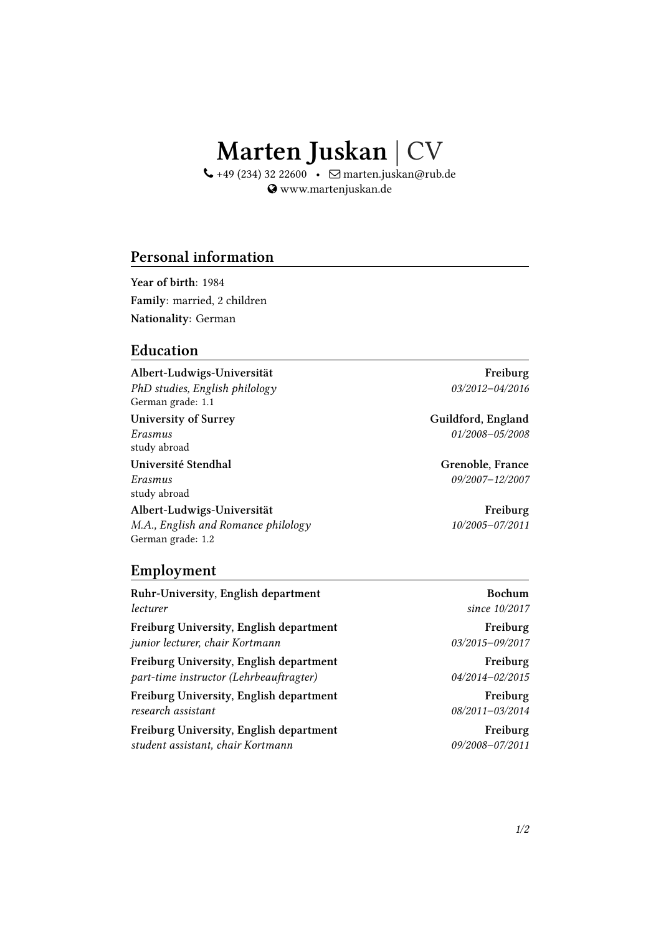# **Marten Juskan** | CV

 $\leftarrow$  +49 (234) 32 22600 •  $\Box$  marten.juskan@rub.de www.martenjuskan.de

## **Personal information**

**Year of birth**: 1984 **Family**: married, 2 children **Nationality**: German

#### **Education**

**Albert-Ludwigs-Universität Freiburg** *PhD studies, English philology 03/2012–04/2016* German grade: 1.1

study abroad

study abroad

**Albert-Ludwigs-Universität Freiburg** *M.A., English and Romance philology 10/2005–07/2011* German grade: 1.2

**Employment**

**Ruhr-University, English department Bochum** *lecturer since 10/2017*

**Freiburg University, English department Freiburg** *junior lecturer, chair Kortmann 03/2015–09/2017*

**Freiburg University, English department Freiburg** *part-time instructor (Lehrbeauftragter) 04/2014–02/2015*

**Freiburg University, English department Freiburg** *research assistant 08/2011–03/2014*

**Freiburg University, English department Freiburg** *student assistant, chair Kortmann 09/2008–07/2011*

University of Surrey **Guildford, England** *Erasmus 01/2008–05/2008*

**Université Stendhal Grenoble, France** *Erasmus 09/2007–12/2007*